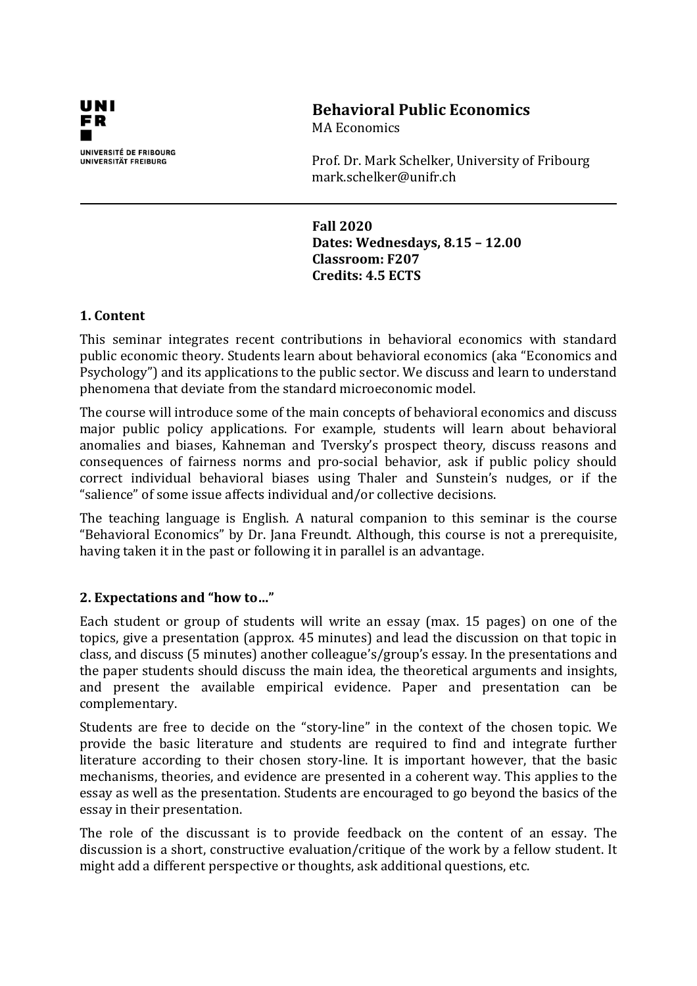

# **Behavioral Public Economics**

MA Economics

Prof. Dr. Mark Schelker, University of Fribourg mark.schelker@unifr.ch

**Fall 2020 Dates: Wednesdays, 8.15 – 12.00 Classroom: F207 Credits: 4.5 ECTS**

# **1. Content**

This seminar integrates recent contributions in behavioral economics with standard public economic theory. Students learn about behavioral economics (aka "Economics and Psychology") and its applications to the public sector. We discuss and learn to understand phenomena that deviate from the standard microeconomic model.

The course will introduce some of the main concepts of behavioral economics and discuss major public policy applications. For example, students will learn about behavioral anomalies and biases, Kahneman and Tversky's prospect theory, discuss reasons and consequences of fairness norms and pro-social behavior, ask if public policy should correct individual behavioral biases using Thaler and Sunstein's nudges, or if the "salience" of some issue affects individual and/or collective decisions.

The teaching language is English. A natural companion to this seminar is the course "Behavioral Economics" by Dr. Jana Freundt. Although, this course is not a prerequisite, having taken it in the past or following it in parallel is an advantage.

# **2. Expectations and "how to…"**

Each student or group of students will write an essay (max. 15 pages) on one of the topics, give a presentation (approx. 45 minutes) and lead the discussion on that topic in class, and discuss (5 minutes) another colleague's/group's essay. In the presentations and the paper students should discuss the main idea, the theoretical arguments and insights, and present the available empirical evidence. Paper and presentation can be complementary.

Students are free to decide on the "story-line" in the context of the chosen topic. We provide the basic literature and students are required to find and integrate further literature according to their chosen story-line. It is important however, that the basic mechanisms, theories, and evidence are presented in a coherent way. This applies to the essay as well as the presentation. Students are encouraged to go beyond the basics of the essay in their presentation.

The role of the discussant is to provide feedback on the content of an essay. The discussion is a short, constructive evaluation/critique of the work by a fellow student. It might add a different perspective or thoughts, ask additional questions, etc.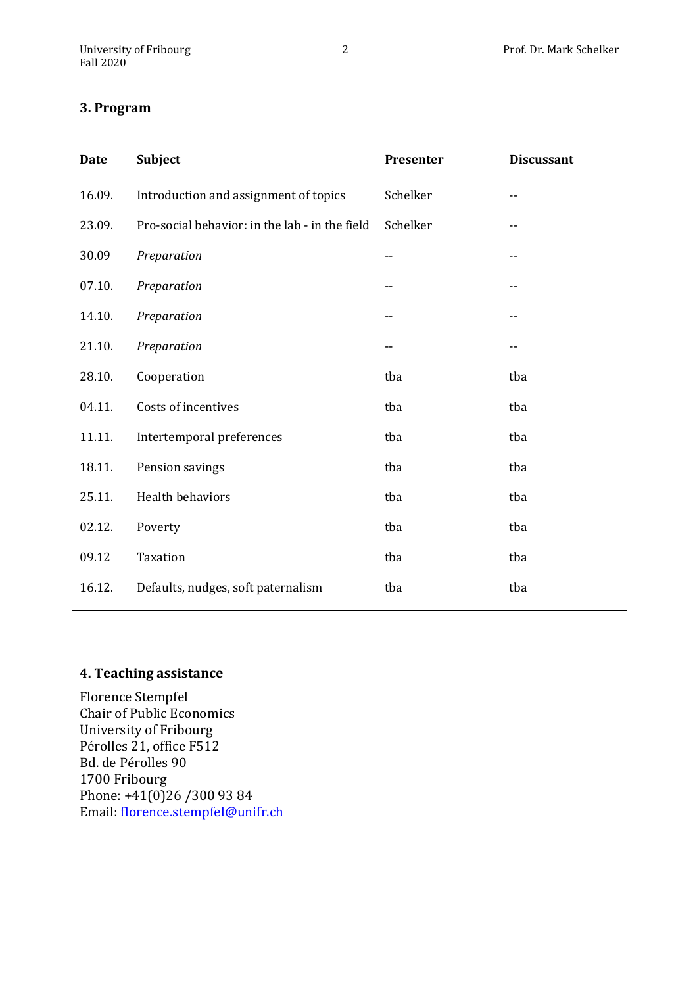### **3. Program**

| <b>Date</b> | Subject                                        | Presenter | <b>Discussant</b> |
|-------------|------------------------------------------------|-----------|-------------------|
| 16.09.      | Introduction and assignment of topics          | Schelker  |                   |
| 23.09.      | Pro-social behavior: in the lab - in the field | Schelker  |                   |
| 30.09       | Preparation                                    | --        |                   |
| 07.10.      | Preparation                                    | --        |                   |
| 14.10.      | Preparation                                    |           |                   |
| 21.10.      | Preparation                                    |           |                   |
| 28.10.      | Cooperation                                    | tba       | tba               |
| 04.11.      | Costs of incentives                            | tba       | tba               |
| 11.11.      | Intertemporal preferences                      | tba       | tba               |
| 18.11.      | Pension savings                                | tba       | tba               |
| 25.11.      | Health behaviors                               | tba       | tba               |
| 02.12.      | Poverty                                        | tba       | tba               |
| 09.12       | Taxation                                       | tba       | tba               |
| 16.12.      | Defaults, nudges, soft paternalism             | tba       | tba               |

# **4. Teaching assistance**

Florence Stempfel Chair of Public Economics University of Fribourg Pérolles 21, office F512 Bd. de Pérolles 90 1700 Fribourg Phone: +41(0)26 /300 93 84 Email: [florence.stempfel@unifr.ch](mailto:florence.stempfel@unifr.ch)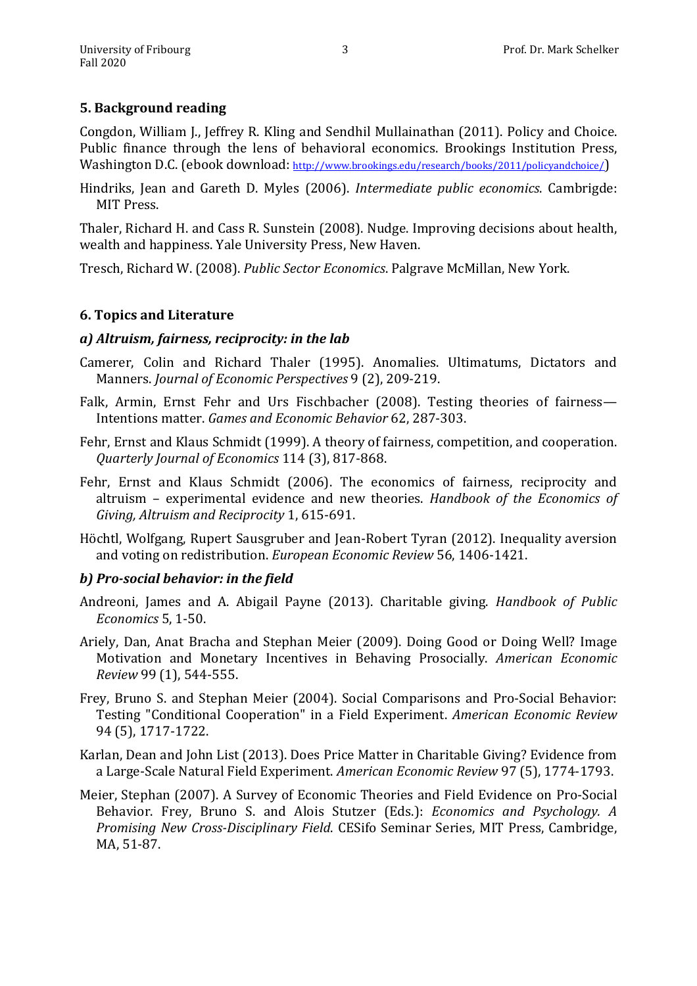### **5. Background reading**

Congdon, William J., Jeffrey R. Kling and Sendhil Mullainathan (2011). Policy and Choice. Public finance through the lens of behavioral economics. Brookings Institution Press, Washington D.C. (ebook download: [http://www.brookings.edu/research/books/2011/policyandchoice/\)](http://www.brookings.edu/research/books/2011/policyandchoice/)

Hindriks, Jean and Gareth D. Myles (2006). *Intermediate public economics*. Cambrigde: MIT Press.

Thaler, Richard H. and Cass R. Sunstein (2008). Nudge. Improving decisions about health, wealth and happiness. Yale University Press, New Haven.

Tresch, Richard W. (2008). *Public Sector Economics*. Palgrave McMillan, New York.

### **6. Topics and Literature**

### *a) Altruism, fairness, reciprocity: in the lab*

- Camerer, Colin and Richard Thaler (1995). Anomalies. Ultimatums, Dictators and Manners. *Journal of Economic Perspectives* 9 (2), 209-219.
- Falk, Armin, Ernst Fehr and Urs Fischbacher (2008). Testing theories of fairness— Intentions matter. *Games and Economic Behavior* 62, 287-303.
- Fehr, Ernst and Klaus Schmidt (1999). A theory of fairness, competition, and cooperation. *Quarterly Journal of Economics* 114 (3), 817-868.
- Fehr, Ernst and Klaus Schmidt (2006). The economics of fairness, reciprocity and altruism – experimental evidence and new theories. *Handbook of the Economics of Giving, Altruism and Reciprocity* 1, 615-691.
- Höchtl, Wolfgang, Rupert Sausgruber and Jean-Robert Tyran (2012). Inequality aversion and voting on redistribution. *European Economic Review* 56, 1406-1421.

### *b) Pro-social behavior: in the field*

- Andreoni, James and A. Abigail Payne (2013). Charitable giving. *Handbook of Public Economics* 5, 1-50.
- Ariely, Dan, Anat Bracha and Stephan Meier (2009). Doing Good or Doing Well? Image Motivation and Monetary Incentives in Behaving Prosocially. *American Economic Review* 99 (1), 544-555.
- Frey, Bruno S. and Stephan Meier (2004). Social Comparisons and Pro-Social Behavior: Testing "Conditional Cooperation" in a Field Experiment. *American Economic Review* 94 (5), 1717-1722.
- Karlan, Dean and John List (2013). Does Price Matter in Charitable Giving? Evidence from a Large-Scale Natural Field Experiment. *American Economic Review* 97 (5), 1774-1793.
- Meier, Stephan (2007). A Survey of Economic Theories and Field Evidence on Pro-Social Behavior. Frey, Bruno S. and Alois Stutzer (Eds.): *Economics and Psychology. A Promising New Cross-Disciplinary Field*. CESifo Seminar Series, MIT Press, Cambridge, MA, 51-87.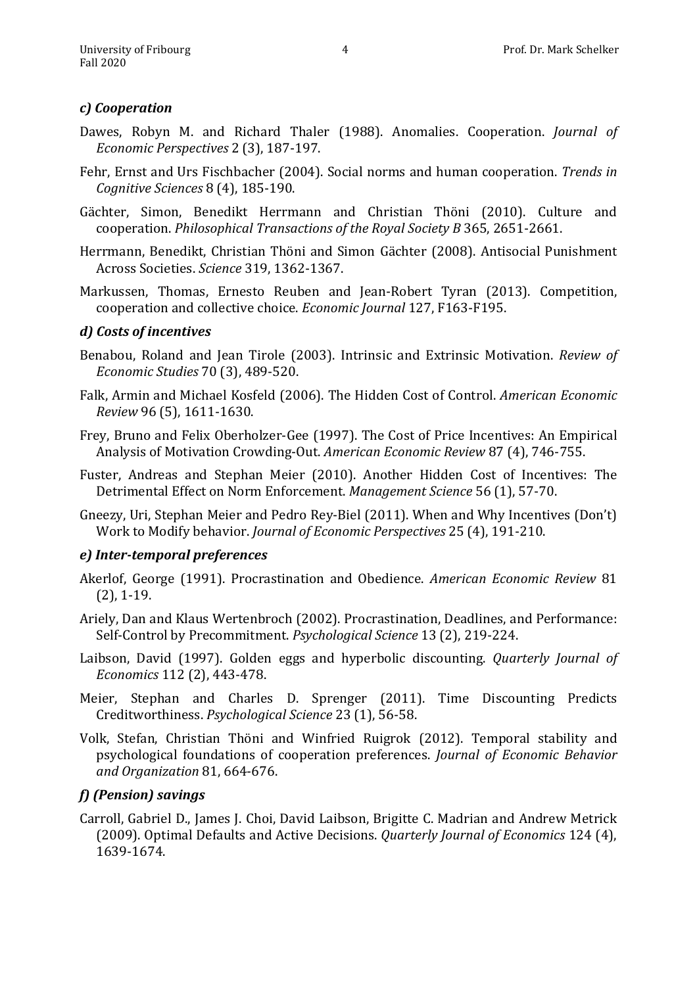### *c) Cooperation*

- Dawes, Robyn M. and Richard Thaler (1988). Anomalies. Cooperation. *Journal of Economic Perspectives* 2 (3), 187-197.
- Fehr, Ernst and Urs Fischbacher (2004). Social norms and human cooperation. *Trends in Cognitive Sciences* 8 (4), 185-190.
- Gächter, Simon, Benedikt Herrmann and Christian Thöni (2010). Culture and cooperation. *Philosophical Transactions of the Royal Society B* 365, 2651-2661.
- Herrmann, Benedikt, Christian Thöni and Simon Gächter (2008). Antisocial Punishment Across Societies. *Science* 319, 1362-1367.
- Markussen, Thomas, Ernesto Reuben and Jean-Robert Tyran (2013). Competition, cooperation and collective choice. *Economic Journal* 127, F163-F195.

### *d) Costs of incentives*

- Benabou, Roland and Jean Tirole (2003). Intrinsic and Extrinsic Motivation. *Review of Economic Studies* 70 (3), 489-520.
- Falk, Armin and Michael Kosfeld (2006). The Hidden Cost of Control. *American Economic Review* 96 (5), 1611-1630.
- Frey, Bruno and Felix Oberholzer-Gee (1997). The Cost of Price Incentives: An Empirical Analysis of Motivation Crowding-Out. *American Economic Review* 87 (4), 746-755.
- Fuster, Andreas and Stephan Meier (2010). Another Hidden Cost of Incentives: The Detrimental Effect on Norm Enforcement. *Management Science* 56 (1), 57-70.
- Gneezy, Uri, Stephan Meier and Pedro Rey-Biel (2011). When and Why Incentives (Don't) Work to Modify behavior. *Journal of Economic Perspectives* 25 (4), 191-210.

### *e) Inter-temporal preferences*

- Akerlof, George (1991). Procrastination and Obedience. *American Economic Review* 81 (2), 1-19.
- Ariely, Dan and Klaus Wertenbroch (2002). Procrastination, Deadlines, and Performance: Self-Control by Precommitment. *Psychological Science* 13 (2), 219-224.
- Laibson, David (1997). Golden eggs and hyperbolic discounting. *Quarterly Journal of Economics* 112 (2), 443-478.
- Meier, Stephan and Charles D. Sprenger (2011). Time Discounting Predicts Creditworthiness. *Psychological Science* 23 (1), 56-58.
- Volk, Stefan, Christian Thöni and Winfried Ruigrok (2012). Temporal stability and psychological foundations of cooperation preferences. *Journal of Economic Behavior and Organization* 81, 664-676.

### *f) (Pension) savings*

Carroll, Gabriel D., James J. Choi, David Laibson, Brigitte C. Madrian and Andrew Metrick (2009). Optimal Defaults and Active Decisions. *Quarterly Journal of Economics* 124 (4), 1639-1674.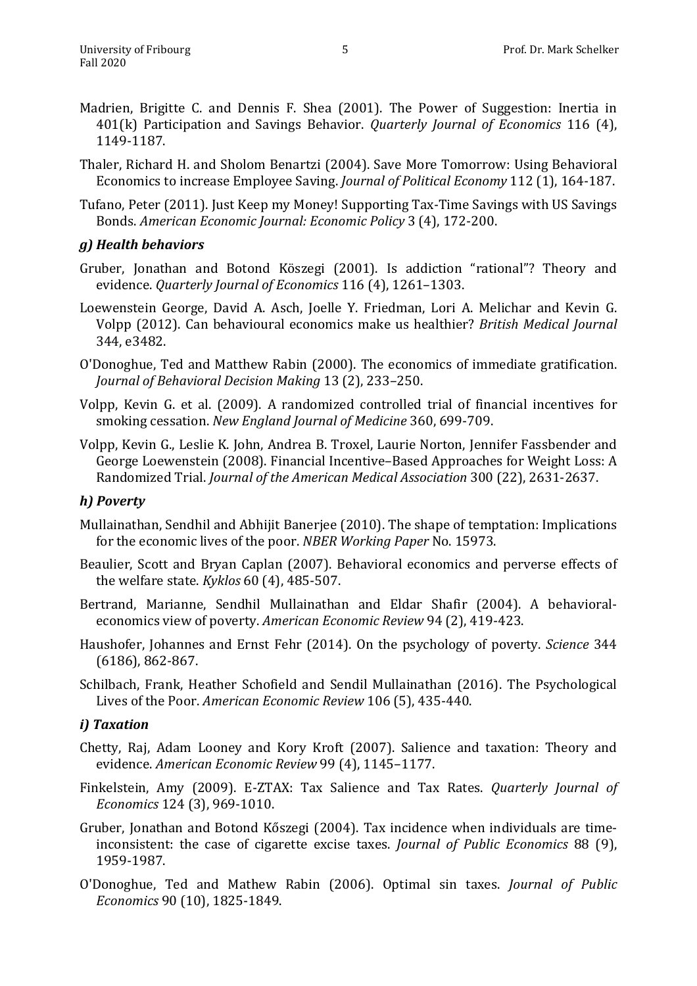- Madrien, Brigitte C. and Dennis F. Shea (2001). The Power of Suggestion: Inertia in 401(k) Participation and Savings Behavior. *Quarterly Journal of Economics* 116 (4), 1149-1187.
- Thaler, Richard H. and Sholom Benartzi (2004). Save More Tomorrow: Using Behavioral Economics to increase Employee Saving. *Journal of Political Economy* 112 (1), 164-187.
- Tufano, Peter (2011). Just Keep my Money! Supporting Tax-Time Savings with US Savings Bonds. *American Economic Journal: Economic Policy* 3 (4), 172-200.

### *g) Health behaviors*

- Gruber, Jonathan and Botond Köszegi (2001). Is addiction "rational"? Theory and evidence. *Quarterly Journal of Economics* 116 (4), 1261–1303.
- Loewenstein George, David A. Asch, Joelle Y. Friedman, Lori A. Melichar and Kevin G. Volpp (2012). Can behavioural economics make us healthier? *British Medical Journal* 344, e3482.
- O'Donoghue, Ted and Matthew Rabin (2000). The economics of immediate gratification. *Journal of Behavioral Decision Making* 13 (2), 233–250.
- Volpp, Kevin G. et al. (2009). A randomized controlled trial of financial incentives for smoking cessation. *New England Journal of Medicine* 360, 699-709.
- Volpp, Kevin G., Leslie K. John, Andrea B. Troxel, Laurie Norton, Jennifer Fassbender and George Loewenstein (2008). Financial Incentive–Based Approaches for Weight Loss: A Randomized Trial. *Journal of the American Medical Association* 300 (22), 2631-2637.

#### *h) Poverty*

- Mullainathan, Sendhil and Abhijit Banerjee (2010). The shape of temptation: Implications for the economic lives of the poor. *NBER Working Paper* No. 15973.
- Beaulier, Scott and Bryan Caplan (2007). Behavioral economics and perverse effects of the welfare state. *Kyklos* 60 (4), 485-507.
- Bertrand, Marianne, Sendhil Mullainathan and Eldar Shafir (2004). A behavioraleconomics view of poverty. *American Economic Review* 94 (2), 419-423.
- Haushofer, Johannes and Ernst Fehr (2014). On the psychology of poverty. *Science* 344 (6186), 862-867.
- Schilbach, Frank, Heather Schofield and Sendil Mullainathan (2016). The Psychological Lives of the Poor. *American Economic Review* 106 (5), 435-440.

### *i) Taxation*

- Chetty, Raj, Adam Looney and Kory Kroft (2007). Salience and taxation: Theory and evidence. *American Economic Review* 99 (4), 1145–1177.
- Finkelstein, Amy (2009). E-ZTAX: Tax Salience and Tax Rates. *Quarterly Journal of Economics* 124 (3), 969-1010.
- Gruber, Jonathan and Botond Kőszegi (2004). Tax incidence when individuals are timeinconsistent: the case of cigarette excise taxes. *Journal of Public Economics* 88 (9), 1959-1987.
- O'Donoghue, Ted and Mathew Rabin (2006). Optimal sin taxes. *Journal of Public Economics* 90 (10), 1825-1849.